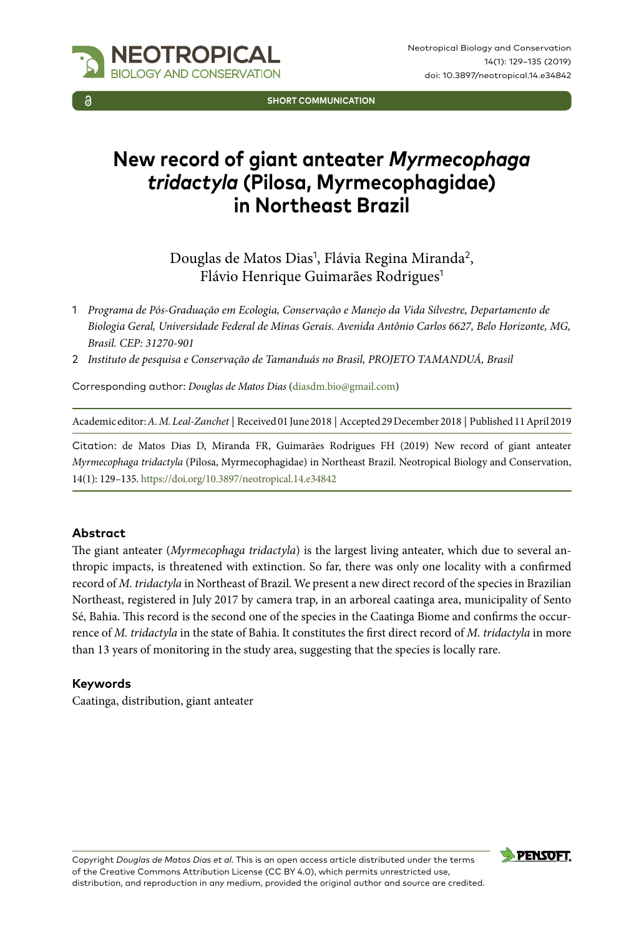

**SHORT COMMUNICATION**

# **New record of giant anteater** *Myrmecophaga tridactyla* **(Pilosa, Myrmecophagidae) in Northeast Brazil**

Douglas de Matos Dias<sup>1</sup>, Flávia Regina Miranda<sup>2</sup>, Flávio Henrique Guimarães Rodrigues<sup>1</sup>

- 1 *Programa de Pós-Graduação em Ecologia, Conservação e Manejo da Vida Silvestre, Departamento de Biologia Geral, Universidade Federal de Minas Gerais. Avenida Antônio Carlos 6627, Belo Horizonte, MG, Brasil. CEP: 31270-901*
- 2 *Instituto de pesquisa e Conservação de Tamanduás no Brasil, PROJETO TAMANDUÁ, Brasil*

Corresponding author: *Douglas de Matos Dias* ([diasdm.bio@gmail.com](mailto:diasdm.bio@gmail.com))

Academic editor: *A. M. Leal-Zanchet* | Received 01 June 2018 | Accepted 29 December 2018 | Published 11 April 2019

Citation: de Matos Dias D, Miranda FR, Guimarães Rodrigues FH (2019) New record of giant anteater *Myrmecophaga tridactyla* (Pilosa, Myrmecophagidae) in Northeast Brazil. Neotropical Biology and Conservation, 14(1): 129–135.<https://doi.org/10.3897/neotropical.14.e34842>

#### **Abstract**

The giant anteater (*Myrmecophaga tridactyla*) is the largest living anteater, which due to several anthropic impacts, is threatened with extinction. So far, there was only one locality with a confirmed record of *M. tridactyla* in Northeast of Brazil. We present a new direct record of the species in Brazilian Northeast, registered in July 2017 by camera trap, in an arboreal caatinga area, municipality of Sento Sé, Bahia. This record is the second one of the species in the Caatinga Biome and confirms the occurrence of *M. tridactyla* in the state of Bahia. It constitutes the first direct record of *M. tridactyla* in more than 13 years of monitoring in the study area, suggesting that the species is locally rare.

#### **Keywords**

Caatinga, distribution, giant anteater

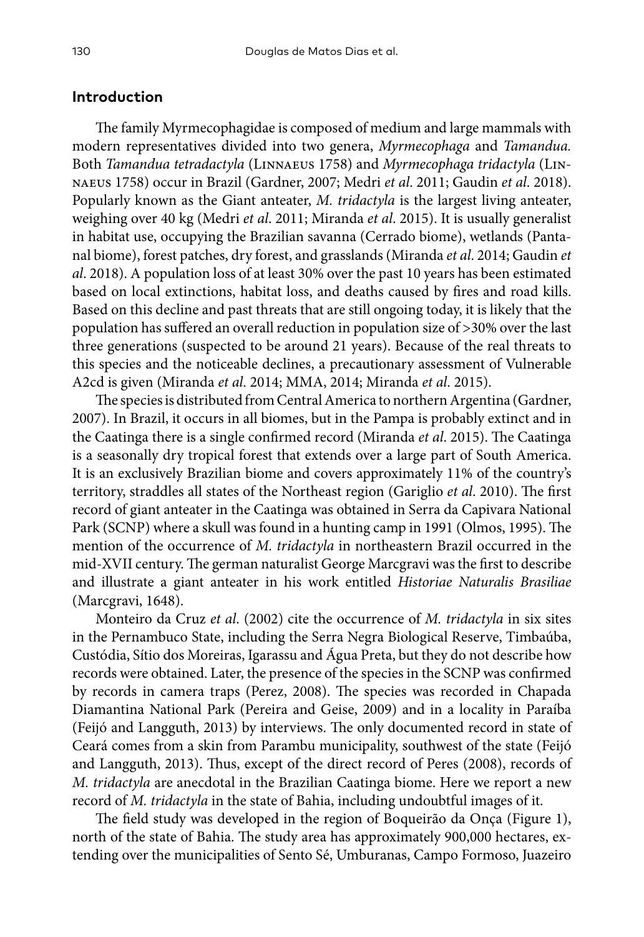## **Introduction**

The family Myrmecophagidae is composed of medium and large mammals with modern representatives divided into two genera, *Myrmecophaga* and *Tamandua.*  Both *Tamandua tetradactyla* (Linnaeus 1758) and *Myrmecophaga tridactyla* (Linnaeus 1758) occur in Brazil (Gardner, 2007; Medri *et al*. 2011; Gaudin *et al*. 2018). Popularly known as the Giant anteater, *M. tridactyla* is the largest living anteater, weighing over 40 kg (Medri *et al*. 2011; Miranda *et al*. 2015). It is usually generalist in habitat use, occupying the Brazilian savanna (Cerrado biome), wetlands (Pantanal biome), forest patches, dry forest, and grasslands (Miranda *et al*. 2014; Gaudin *et al*. 2018). A population loss of at least 30% over the past 10 years has been estimated based on local extinctions, habitat loss, and deaths caused by fires and road kills. Based on this decline and past threats that are still ongoing today, it is likely that the population has suffered an overall reduction in population size of >30% over the last three generations (suspected to be around 21 years). Because of the real threats to this species and the noticeable declines, a precautionary assessment of Vulnerable A2cd is given (Miranda *et al*. 2014; MMA, 2014; Miranda *et al*. 2015).

The species is distributed from Central America to northern Argentina (Gardner, 2007). In Brazil, it occurs in all biomes, but in the Pampa is probably extinct and in the Caatinga there is a single confirmed record (Miranda *et al*. 2015). The Caatinga is a seasonally dry tropical forest that extends over a large part of South America. It is an exclusively Brazilian biome and covers approximately 11% of the country's territory, straddles all states of the Northeast region (Gariglio *et al*. 2010). The first record of giant anteater in the Caatinga was obtained in Serra da Capivara National Park (SCNP) where a skull was found in a hunting camp in 1991 (Olmos, 1995). The mention of the occurrence of *M. tridactyla* in northeastern Brazil occurred in the mid-XVII century. The german naturalist George Marcgravi was the first to describe and illustrate a giant anteater in his work entitled *Historiae Naturalis Brasiliae* (Marcgravi, 1648).

Monteiro da Cruz *et al*. (2002) cite the occurrence of *M. tridactyla* in six sites in the Pernambuco State, including the Serra Negra Biological Reserve, Timbaúba, Custódia, Sítio dos Moreiras, Igarassu and Água Preta, but they do not describe how records were obtained. Later, the presence of the species in the SCNP was confirmed by records in camera traps (Perez, 2008). The species was recorded in Chapada Diamantina National Park (Pereira and Geise, 2009) and in a locality in Paraíba (Feijó and Langguth, 2013) by interviews. The only documented record in state of Ceará comes from a skin from Parambu municipality, southwest of the state (Feijó and Langguth, 2013). Thus, except of the direct record of Peres (2008), records of *M. tridactyla* are anecdotal in the Brazilian Caatinga biome. Here we report a new record of *M. tridactyla* in the state of Bahia, including undoubtful images of it.

The field study was developed in the region of Boqueirão da Onça (Figure 1), north of the state of Bahia. The study area has approximately 900,000 hectares, extending over the municipalities of Sento Sé, Umburanas, Campo Formoso, Juazeiro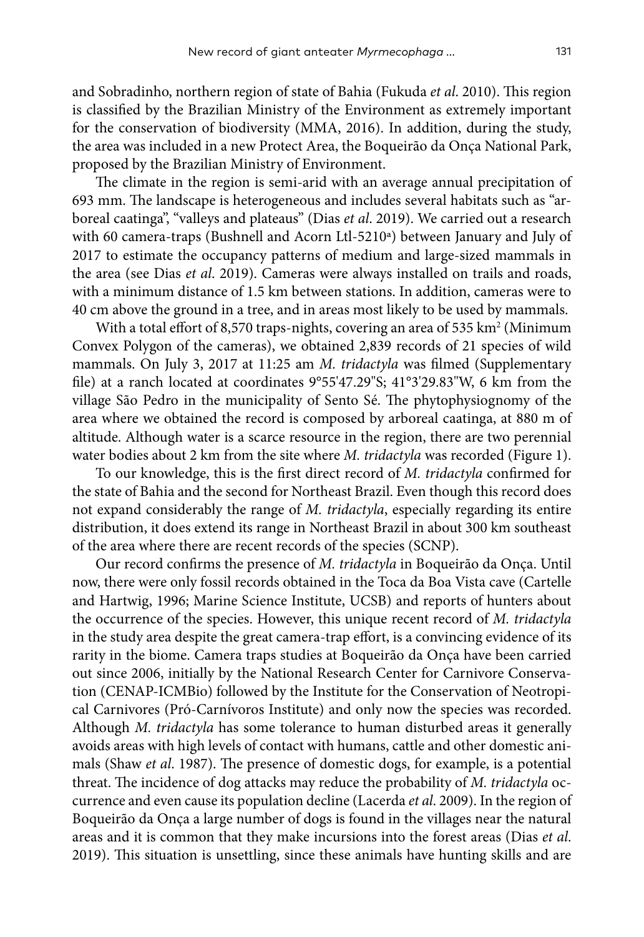and Sobradinho, northern region of state of Bahia (Fukuda *et al*. 2010). This region is classified by the Brazilian Ministry of the Environment as extremely important for the conservation of biodiversity (MMA, 2016). In addition, during the study, the area was included in a new Protect Area, the Boqueirão da Onça National Park, proposed by the Brazilian Ministry of Environment.

The climate in the region is semi-arid with an average annual precipitation of 693 mm. The landscape is heterogeneous and includes several habitats such as "arboreal caatinga", "valleys and plateaus" (Dias *et al*. 2019). We carried out a research with 60 camera-traps (Bushnell and Acorn Ltl-5210ª) between January and July of 2017 to estimate the occupancy patterns of medium and large-sized mammals in the area (see Dias *et al*. 2019). Cameras were always installed on trails and roads, with a minimum distance of 1.5 km between stations. In addition, cameras were to 40 cm above the ground in a tree, and in areas most likely to be used by mammals.

With a total effort of 8,570 traps-nights, covering an area of 535 km² (Minimum Convex Polygon of the cameras), we obtained 2,839 records of 21 species of wild mammals. On July 3, 2017 at 11:25 am *M. tridactyla* was filmed (Supplementary file) at a ranch located at coordinates 9°55'47.29"S; 41°3'29.83"W, 6 km from the village São Pedro in the municipality of Sento Sé. The phytophysiognomy of the area where we obtained the record is composed by arboreal caatinga, at 880 m of altitude. Although water is a scarce resource in the region, there are two perennial water bodies about 2 km from the site where *M. tridactyla* was recorded (Figure 1).

To our knowledge, this is the first direct record of *M. tridactyla* confirmed for the state of Bahia and the second for Northeast Brazil. Even though this record does not expand considerably the range of *M. tridactyla*, especially regarding its entire distribution, it does extend its range in Northeast Brazil in about 300 km southeast of the area where there are recent records of the species (SCNP).

Our record confirms the presence of *M. tridactyla* in Boqueirão da Onça. Until now, there were only fossil records obtained in the Toca da Boa Vista cave (Cartelle and Hartwig, 1996; Marine Science Institute, UCSB) and reports of hunters about the occurrence of the species. However, this unique recent record of *M. tridactyla* in the study area despite the great camera-trap effort, is a convincing evidence of its rarity in the biome. Camera traps studies at Boqueirão da Onça have been carried out since 2006, initially by the National Research Center for Carnivore Conservation (CENAP-ICMBio) followed by the Institute for the Conservation of Neotropical Carnivores (Pró-Carnívoros Institute) and only now the species was recorded. Although *M. tridactyla* has some tolerance to human disturbed areas it generally avoids areas with high levels of contact with humans, cattle and other domestic animals (Shaw *et al*. 1987). The presence of domestic dogs, for example, is a potential threat. The incidence of dog attacks may reduce the probability of *M. tridactyla* occurrence and even cause its population decline (Lacerda *et al*. 2009). In the region of Boqueirão da Onça a large number of dogs is found in the villages near the natural areas and it is common that they make incursions into the forest areas (Dias *et al*. 2019). This situation is unsettling, since these animals have hunting skills and are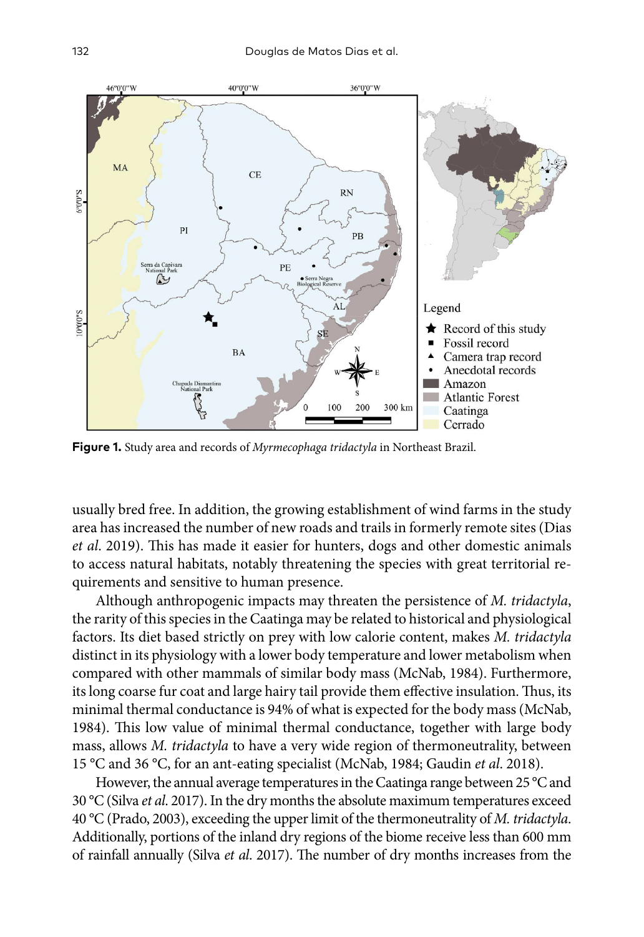

**Figure 1.** Study area and records of *Myrmecophaga tridactyla* in Northeast Brazil.

usually bred free. In addition, the growing establishment of wind farms in the study area has increased the number of new roads and trails in formerly remote sites (Dias *et al*. 2019). This has made it easier for hunters, dogs and other domestic animals to access natural habitats, notably threatening the species with great territorial requirements and sensitive to human presence.

Although anthropogenic impacts may threaten the persistence of *M. tridactyla*, the rarity of this species in the Caatinga may be related to historical and physiological factors. Its diet based strictly on prey with low calorie content, makes *M. tridactyla* distinct in its physiology with a lower body temperature and lower metabolism when compared with other mammals of similar body mass (McNab, 1984). Furthermore, its long coarse fur coat and large hairy tail provide them effective insulation. Thus, its minimal thermal conductance is 94% of what is expected for the body mass (McNab, 1984). This low value of minimal thermal conductance, together with large body mass, allows *M. tridactyla* to have a very wide region of thermoneutrality, between 15 °C and 36 °C, for an ant-eating specialist (McNab, 1984; Gaudin *et al*. 2018).

However, the annual average temperatures in the Caatinga range between 25 °C and 30 °C (Silva *et al*. 2017). In the dry months the absolute maximum temperatures exceed 40 °C (Prado, 2003), exceeding the upper limit of the thermoneutrality of *M. tridactyla*. Additionally, portions of the inland dry regions of the biome receive less than 600 mm of rainfall annually (Silva *et al*. 2017). The number of dry months increases from the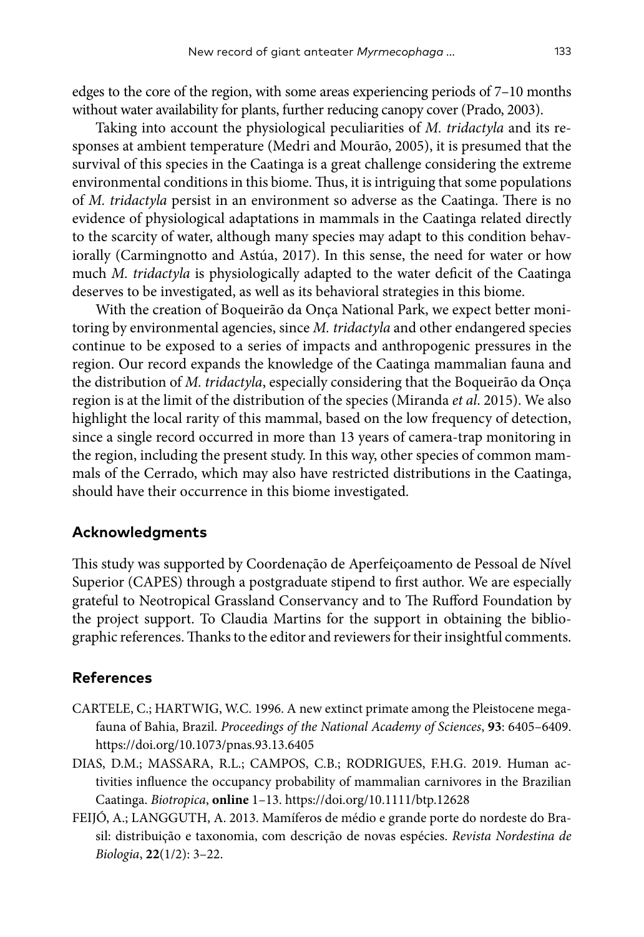edges to the core of the region, with some areas experiencing periods of 7–10 months without water availability for plants, further reducing canopy cover (Prado, 2003).

Taking into account the physiological peculiarities of *M. tridactyla* and its responses at ambient temperature (Medri and Mourão, 2005), it is presumed that the survival of this species in the Caatinga is a great challenge considering the extreme environmental conditions in this biome. Thus, it is intriguing that some populations of *M. tridactyla* persist in an environment so adverse as the Caatinga. There is no evidence of physiological adaptations in mammals in the Caatinga related directly to the scarcity of water, although many species may adapt to this condition behaviorally (Carmingnotto and Astúa, 2017). In this sense, the need for water or how much *M. tridactyla* is physiologically adapted to the water deficit of the Caatinga deserves to be investigated, as well as its behavioral strategies in this biome.

With the creation of Boqueirão da Onça National Park, we expect better monitoring by environmental agencies, since *M. tridactyla* and other endangered species continue to be exposed to a series of impacts and anthropogenic pressures in the region. Our record expands the knowledge of the Caatinga mammalian fauna and the distribution of *M. tridactyla*, especially considering that the Boqueirão da Onça region is at the limit of the distribution of the species (Miranda *et al*. 2015). We also highlight the local rarity of this mammal, based on the low frequency of detection, since a single record occurred in more than 13 years of camera-trap monitoring in the region, including the present study. In this way, other species of common mammals of the Cerrado, which may also have restricted distributions in the Caatinga, should have their occurrence in this biome investigated.

## **Acknowledgments**

This study was supported by Coordenação de Aperfeiçoamento de Pessoal de Nível Superior (CAPES) through a postgraduate stipend to first author. We are especially grateful to Neotropical Grassland Conservancy and to The Rufford Foundation by the project support. To Claudia Martins for the support in obtaining the bibliographic references. Thanks to the editor and reviewers for their insightful comments.

#### **References**

- CARTELE, C.; HARTWIG, W.C. 1996. A new extinct primate among the Pleistocene megafauna of Bahia, Brazil. *Proceedings of the National Academy of Sciences*, **93**: 6405–6409. <https://doi.org/10.1073/pnas.93.13.6405>
- DIAS, D.M.; MASSARA, R.L.; CAMPOS, C.B.; RODRIGUES, F.H.G. 2019. Human activities influence the occupancy probability of mammalian carnivores in the Brazilian Caatinga. *Biotropica*, **online** 1–13.<https://doi.org/10.1111/btp.12628>
- FEIJÓ, A.; LANGGUTH, A. 2013. Mamíferos de médio e grande porte do nordeste do Brasil: distribuição e taxonomia, com descrição de novas espécies. *Revista Nordestina de Biologia*, **22**(1/2): 3–22.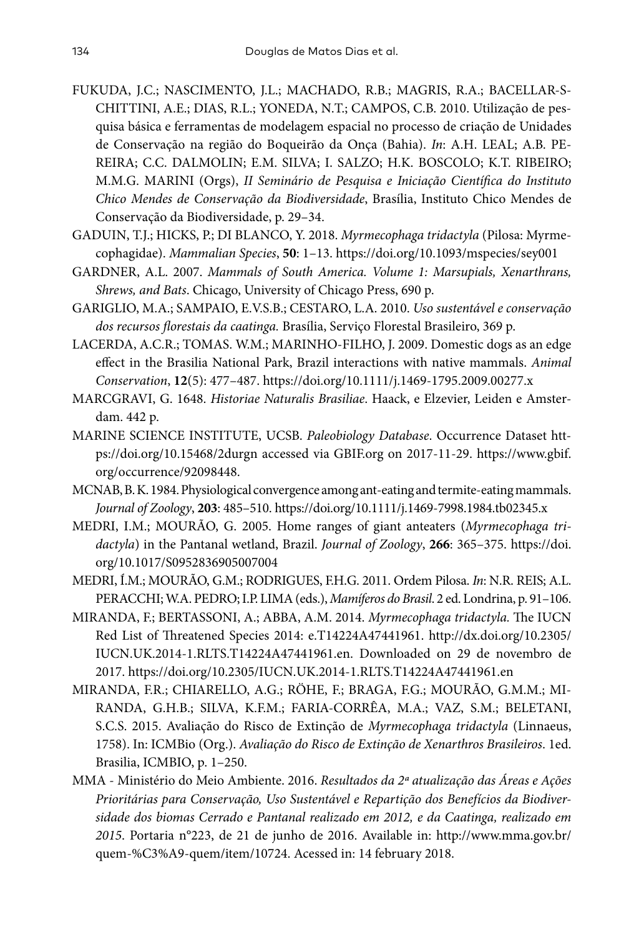- FUKUDA, J.C.; NASCIMENTO, J.L.; MACHADO, R.B.; MAGRIS, R.A.; BACELLAR-S-CHITTINI, A.E.; DIAS, R.L.; YONEDA, N.T.; CAMPOS, C.B. 2010. Utilização de pesquisa básica e ferramentas de modelagem espacial no processo de criação de Unidades de Conservação na região do Boqueirão da Onça (Bahia). *In*: A.H. LEAL; A.B. PE-REIRA; C.C. DALMOLIN; E.M. SILVA; I. SALZO; H.K. BOSCOLO; K.T. RIBEIRO; M.M.G. MARINI (Orgs), *II Seminário de Pesquisa e Iniciação Científica do Instituto Chico Mendes de Conservação da Biodiversidade*, Brasília, Instituto Chico Mendes de Conservação da Biodiversidade, p. 29–34.
- GADUIN, T.J.; HICKS, P.; DI BLANCO, Y. 2018. *Myrmecophaga tridactyla* (Pilosa: Myrmecophagidae). *Mammalian Species*, **50**: 1–13.<https://doi.org/10.1093/mspecies/sey001>
- GARDNER, A.L. 2007. *Mammals of South America. Volume 1: Marsupials, Xenarthrans, Shrews, and Bats*. Chicago, University of Chicago Press, 690 p.
- GARIGLIO, M.A.; SAMPAIO, E.V.S.B.; CESTARO, L.A. 2010. *Uso sustentável e conservação dos recursos florestais da caatinga.* Brasília, Serviço Florestal Brasileiro, 369 p.
- LACERDA, A.C.R.; TOMAS. W.M.; MARINHO-FILHO, J. 2009. Domestic dogs as an edge effect in the Brasilia National Park, Brazil interactions with native mammals. *Animal Conservation*, **12**(5): 477–487.<https://doi.org/10.1111/j.1469-1795.2009.00277.x>
- MARCGRAVI, G. 1648. *Historiae Naturalis Brasiliae*. Haack, e Elzevier, Leiden e Amsterdam. 442 p.
- MARINE SCIENCE INSTITUTE, UCSB. *Paleobiology Database*. Occurrence Dataset [htt](https://doi.org/10.15468/2durgn)[ps://doi.org/10.15468/2durgn](https://doi.org/10.15468/2durgn) accessed via GBIF.org on 2017-11-29. [https://www.gbif.](https://www.gbif.org/occurrence/92098448) [org/occurrence/92098448](https://www.gbif.org/occurrence/92098448).
- MCNAB, B. K. 1984. Physiological convergence among ant-eating and termite-eating mammals. *Journal of Zoology*, **203**: 485–510. <https://doi.org/10.1111/j.1469-7998.1984.tb02345.x>
- MEDRI, I.M.; MOURÃO, G. 2005. Home ranges of giant anteaters (*Myrmecophaga tridactyla*) in the Pantanal wetland, Brazil. *Journal of Zoology*, **266**: 365–375. [https://doi.](https://doi.org/10.1017/S0952836905007004) [org/10.1017/S0952836905007004](https://doi.org/10.1017/S0952836905007004)
- MEDRI, Í.M.; MOURÃO, G.M.; RODRIGUES, F.H.G. 2011. Ordem Pilosa. *In*: N.R. REIS; A.L. PERACCHI; W.A. PEDRO; I.P. LIMA (eds.), *Mamíferos do Brasil*. 2 ed. Londrina, p. 91–106.
- MIRANDA, F.; BERTASSONI, A.; ABBA, A.M. 2014. *Myrmecophaga tridactyla.* The IUCN Red List of Threatened Species 2014: e.T14224A47441961. [http://dx.doi.org/10.2305/](http://dx.doi.org/10.2305/IUCN.UK.2014-1.RLTS.T14224A47441961.en) [IUCN.UK.2014-1.RLTS.T14224A47441961.en](http://dx.doi.org/10.2305/IUCN.UK.2014-1.RLTS.T14224A47441961.en). Downloaded on 29 de novembro de 2017.<https://doi.org/10.2305/IUCN.UK.2014-1.RLTS.T14224A47441961.en>
- MIRANDA, F.R.; CHIARELLO, A.G.; RÖHE, F.; BRAGA, F.G.; MOURÃO, G.M.M.; MI-RANDA, G.H.B.; SILVA, K.F.M.; FARIA-CORRÊA, M.A.; VAZ, S.M.; BELETANI, S.C.S. 2015. Avaliação do Risco de Extinção de *Myrmecophaga tridactyla* (Linnaeus, 1758). In: ICMBio (Org.). *Avaliação do Risco de Extinção de Xenarthros Brasileiros*. 1ed. Brasilia, ICMBIO, p. 1–250.
- MMA Ministério do Meio Ambiente. 2016. *Resultados da 2ª atualização das Áreas e Ações Prioritárias para Conservação, Uso Sustentável e Repartição dos Benefícios da Biodiversidade dos biomas Cerrado e Pantanal realizado em 2012, e da Caatinga, realizado em 2015*. Portaria n°223, de 21 de junho de 2016. Available in: [http://www.mma.gov.br/](http://www.mma.gov.br/quem-%C3%A9-quem/item/10724) [quem-%C3%A9-quem/item/10724.](http://www.mma.gov.br/quem-%C3%A9-quem/item/10724) Acessed in: 14 february 2018.